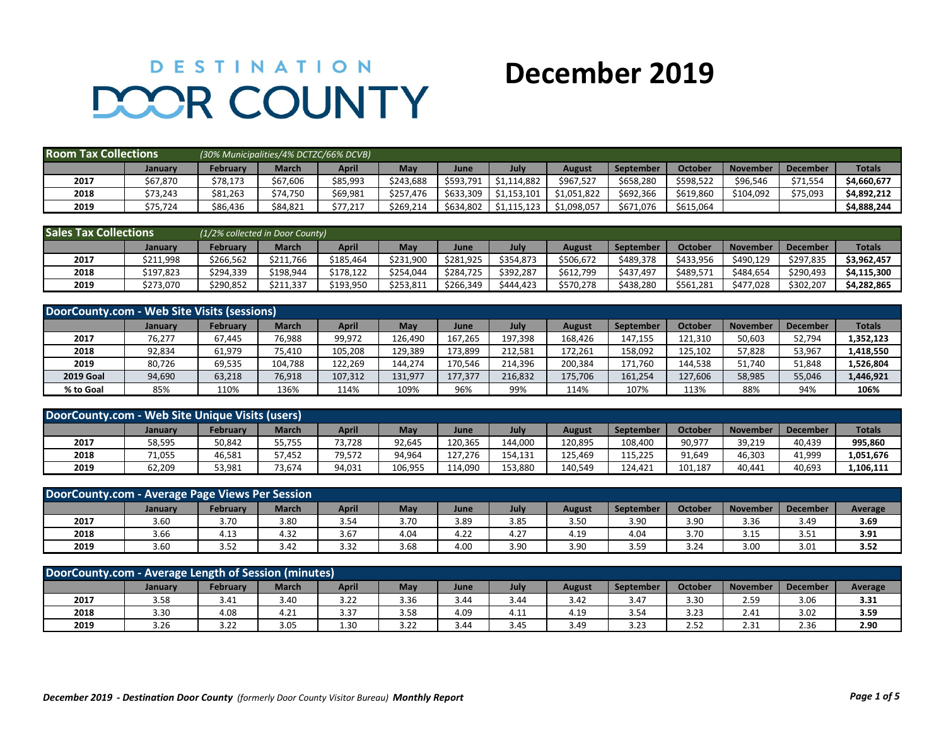## **DESTINATION DOOR COUNTY**

## **December 2019**

| <b>Room Tax Collections</b> |          | (30% Municipalities/4% DCTZC/66% DCVB) |                |          |           |           |             |             |           |                |                 |                 |               |
|-----------------------------|----------|----------------------------------------|----------------|----------|-----------|-----------|-------------|-------------|-----------|----------------|-----------------|-----------------|---------------|
|                             | January  | <b>February</b>                        | April<br>March |          |           | June      | July        | August      | September | <b>October</b> | <b>November</b> | <b>December</b> | <b>Totals</b> |
| 2017                        | \$67,870 | \$78,173                               | \$67,606       | \$85,993 | \$243.688 | \$593.791 | \$1,114,882 | \$967.527   | \$658,280 | \$598.522      | \$96.546        | \$71.554        | \$4,660,677   |
| 2018                        | \$73,243 | \$81,263                               | \$74.750       | \$69,981 | \$257.476 | \$633.309 | \$1.153.101 | \$1.051.822 | \$692.366 | \$619,860      | \$104,092       | \$75,093        | \$4,892,212   |
| 2019                        | \$75,724 | \$86,436                               | \$84,821       | \$77,217 | \$269,214 | \$634,802 | \$1,115,123 | \$1,098,057 | \$671,076 | \$615,064      |                 |                 | \$4,888,244   |

| <b>Sales Tax Collections</b> |           | (1/2% collected in Door County) |              |           |           |           |           |           |           |           |                 |                 |               |
|------------------------------|-----------|---------------------------------|--------------|-----------|-----------|-----------|-----------|-----------|-----------|-----------|-----------------|-----------------|---------------|
|                              | January   | Februarv                        | <b>March</b> | April     | May       | June      | July      | August    | September | October   | <b>November</b> | <b>December</b> | <b>Totals</b> |
| 2017                         | \$211,998 | \$266.562                       | \$211,766    | \$185.464 | \$231,900 | \$281.925 | \$354.873 | \$506,672 | \$489.378 | \$433,956 | \$490.129       | \$297,835       | \$3,962,457   |
| 2018                         | \$197,823 | \$294,339                       | \$198.944    | \$178.122 | \$254.044 | \$284.725 | \$392.287 | \$612,799 | \$437,497 | \$489,571 | \$484.654       | \$290,493       | \$4.115.300   |
| 2019                         | \$273,070 | \$290,852                       | \$211,337    | \$193,950 | \$253,811 | \$266,349 | \$444,423 | \$570,278 | \$438,280 | \$561,281 | \$477,028       | \$302,207       | \$4,282,865   |

| DoorCounty.com - Web Site Visits (sessions) |                |                 |              |              |            |         |         |         |           |                |                 |                 |               |
|---------------------------------------------|----------------|-----------------|--------------|--------------|------------|---------|---------|---------|-----------|----------------|-----------------|-----------------|---------------|
|                                             | <b>January</b> | <b>February</b> | <b>March</b> | <b>April</b> | <b>May</b> | June    | July    | August  | September | <b>October</b> | <b>November</b> | <b>December</b> | <b>Totals</b> |
| 2017                                        | 76,277         | 67,445          | 76,988       | 99,972       | 126,490    | 167,265 | 197,398 | 168,426 | 147,155   | 121,310        | 50,603          | 52,794          | 1,352,123     |
| 2018                                        | 92,834         | 61,979          | 75,410       | 105,208      | 129,389    | 173,899 | 212,581 | 172,261 | 158,092   | 125,102        | 57,828          | 53,967          | 1,418,550     |
| 2019                                        | 80,726         | 69,535          | 104,788      | 122,269      | 144.274    | 170.546 | 214,396 | 200.384 | 171.760   | 144,538        | 51,740          | 51,848          | 1,526,804     |
| <b>2019 Goal</b>                            | 94,690         | 63,218          | 76,918       | 107,312      | 131,977    | 177,377 | 216,832 | 175,706 | 161,254   | 127,606        | 58,985          | 55,046          | 1,446,921     |
| % to Goal                                   | 85%            | 110%            | 136%         | 114%         | 109%       | 96%     | 99%     | 114%    | 107%      | 113%           | 88%             | 94%             | 106%          |

| DoorCounty.com - Web Site Unique Visits (users) |                |                 |              |        |         |         |         |         |                  |                |                 |                 |               |
|-------------------------------------------------|----------------|-----------------|--------------|--------|---------|---------|---------|---------|------------------|----------------|-----------------|-----------------|---------------|
|                                                 | <b>January</b> | <b>February</b> | <b>March</b> | April  | May     | June    | July    | August  | <b>September</b> | <b>Octobel</b> | <b>November</b> | <b>December</b> | <b>Totals</b> |
| 2017                                            | 58,595         | 50,842          | 55,755       | '3,728 | 92,645  | 120,365 | 144.000 | 120.895 | 108.400          | 90,977         | 39,219          | 40,439          | 995,860       |
| 2018                                            | 71,055         | 46,581          | 57,452       | 79,572 | 94,964  | 127,276 | 154.131 | 125.469 | 115.225          | 91,649         | 46,303          | 41,999          | 1,051,676     |
| 2019                                            | 62,209         | 53,981          | 73,674       | 94,031 | 106,955 | 114.090 | 153,880 | 140.549 | 124.421          | 101,187        | 40.441          | 40,693          | 1,106,111     |

|      | DoorCounty.com - Average Page Views Per Session |          |              |       |      |      |      |               |                  |         |                 |                 |         |
|------|-------------------------------------------------|----------|--------------|-------|------|------|------|---------------|------------------|---------|-----------------|-----------------|---------|
|      | <b>January</b>                                  | February | <b>March</b> | April | May  | June | July | <b>August</b> | <b>September</b> | October | <b>November</b> | <b>December</b> | Average |
| 2017 | 3.60                                            | 3.70     | 3.80         | 3.54  | 3.70 | 3.89 | 3.85 | 3.50          | 3.90             | 3.90    | 3.36            | 3.49            | 3.69    |
| 2018 | 3.66                                            | 4.13     | 4.32         | 3.67  | 4.04 | 4.22 | 4.27 | 4.19          | 4.04             | 3.70    | 3.15            | 3.51            | 3.91    |
| 2019 | 3.60                                            | 3.52     | 3.42         | 3.32  | 3.68 | 4.00 | 3.90 | 3.90          | 3.59             | 3.24    | 3.00            | 3.01            | 3.52    |

| DoorCounty.com - Average Length of Session (M<br>(minutes)                                                                                             |      |      |      |      |      |      |      |      |      |      |      |      |      |  |
|--------------------------------------------------------------------------------------------------------------------------------------------------------|------|------|------|------|------|------|------|------|------|------|------|------|------|--|
| April<br><b>March</b><br>May<br>Februarv<br>July<br>October<br><b>November</b><br><b>December</b><br>Average<br>August<br>June<br>September<br>January |      |      |      |      |      |      |      |      |      |      |      |      |      |  |
| 2017                                                                                                                                                   | 3.58 | 3.41 | 3.40 | 3.22 | 3.36 | 3.44 | 3.44 | 3.42 | 3.47 | 3.30 | 2.59 | 3.06 | 3.31 |  |
| 2018                                                                                                                                                   | 3.30 | 4.08 | 4.21 | 3.37 | 3.58 | 4.09 | 4.11 | 4.19 | 3.54 | 3.23 | 2.41 | 3.02 | 3.59 |  |
| 2019                                                                                                                                                   | 3.26 | 3.22 | 3.05 | 1.30 | 3.22 | 3.44 | 3.45 | 3.49 | 3.23 | 2.52 | 2.31 | 2.36 | 2.90 |  |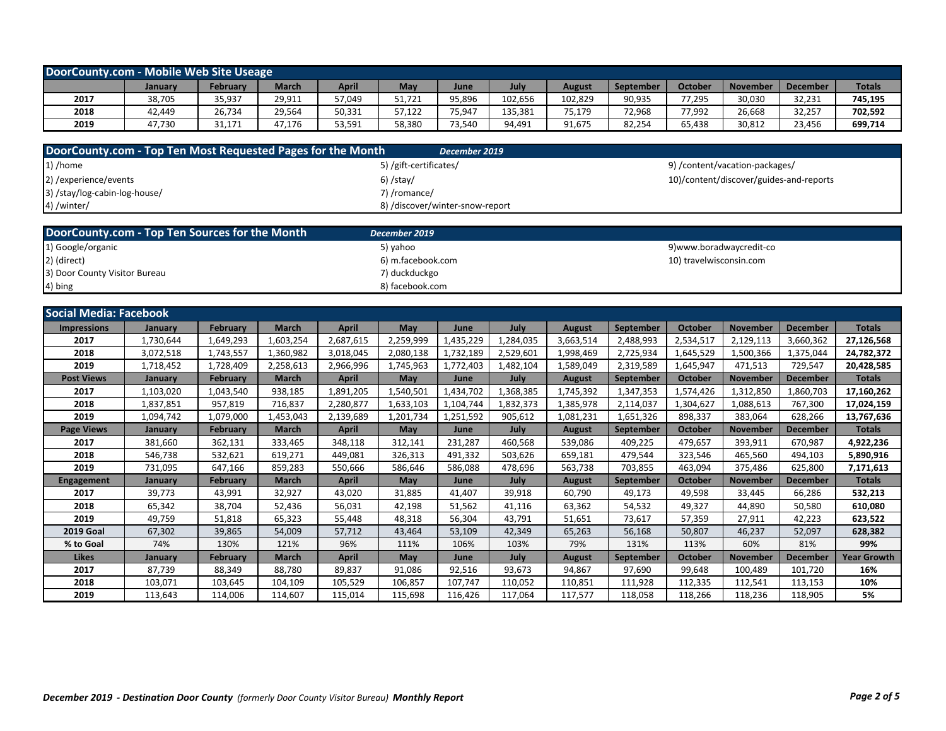| DoorCounty.com - Mobile Web Site Useage |         |          |              |        |        |        |         |         |           |                |                 |                 |               |
|-----------------------------------------|---------|----------|--------------|--------|--------|--------|---------|---------|-----------|----------------|-----------------|-----------------|---------------|
|                                         | January | February | <b>March</b> | April  | May    | June   | July    | August  | September | <b>October</b> | <b>November</b> | <b>December</b> | <b>Totals</b> |
| 2017                                    | 38,705  | 35,937   | 29,911       | 57,049 | 51,721 | 95,896 | 102,656 | 102,829 | 90,935    | 77,295         | 30,030          | 32,231          | 745,195       |
| 2018                                    | 42.449  | 26,734   | 29,564       | 50,331 | 57,122 | 75,947 | 135,381 | 75,179  | 72,968    | 77,992         | 26,668          | 32,257          | 702,592       |
| 2019                                    | 47.730  | 31.171   | 47,176       | 53,591 | 58,380 | 73,540 | 94,491  | 91,675  | 82,254    | 65,438         | 30,812          | 23,456          | 699,714       |

| DoorCounty.com - Top Ten Most Requested Pages for the Month | December 2019                   |                                         |
|-------------------------------------------------------------|---------------------------------|-----------------------------------------|
| $1)$ /home                                                  | 5) /gift-certificates/          | 9) /content/vacation-packages/          |
| 2) / experience/events                                      | $6)$ /stay/                     | 10)/content/discover/guides-and-reports |
| 3) /stay/log-cabin-log-house/                               | 7) /romance/                    |                                         |
| 4) /winter/                                                 | 8) /discover/winter-snow-report |                                         |

| DoorCounty.com - Top Ten Sources for the Month | December 2019     |                         |
|------------------------------------------------|-------------------|-------------------------|
| 1) Google/organic                              | 5) vahoo          | 9)www.boradwaycredit-co |
| 2) (direct)                                    | 6) m.facebook.com | 10) travelwisconsin.com |
| 3) Door County Visitor Bureau                  | 7) duckduckgo     |                         |
| 4) bing                                        | 8) facebook.com   |                         |

| <b>Social Media: Facebook</b> |           |                 |              |              |           |           |           |               |                  |           |                 |                 |                    |
|-------------------------------|-----------|-----------------|--------------|--------------|-----------|-----------|-----------|---------------|------------------|-----------|-----------------|-----------------|--------------------|
| <b>Impressions</b>            | January   | <b>February</b> | <b>March</b> | <b>April</b> | May       | June      | July      | <b>August</b> | <b>September</b> | October   | <b>November</b> | <b>December</b> | <b>Totals</b>      |
| 2017                          | 1,730,644 | 1,649,293       | 1,603,254    | 2,687,615    | 2,259,999 | 1,435,229 | 1,284,035 | 3,663,514     | 2,488,993        | 2,534,517 | 2,129,113       | 3,660,362       | 27,126,568         |
| 2018                          | 3,072,518 | 1,743,557       | 1,360,982    | 3,018,045    | 2,080,138 | 1,732,189 | 2,529,601 | 1,998,469     | 2,725,934        | 1,645,529 | 1,500,366       | 1,375,044       | 24,782,372         |
| 2019                          | 1,718,452 | 1,728,409       | 2,258,613    | 2,966,996    | 1,745,963 | 1,772,403 | 1,482,104 | 1,589,049     | 2,319,589        | 1,645,947 | 471,513         | 729,547         | 20,428,585         |
| <b>Post Views</b>             | January   | <b>February</b> | <b>March</b> | <b>April</b> | May       | June      | July      | August        | September        | October   | <b>November</b> | <b>December</b> | Totals             |
| 2017                          | 1,103,020 | 1,043,540       | 938,185      | 1,891,205    | 1,540,501 | 1,434,702 | 1,368,385 | 1,745,392     | 1,347,353        | 1,574,426 | 1,312,850       | 1,860,703       | 17,160,262         |
| 2018                          | 1,837,851 | 957,819         | 716,837      | 2,280,877    | 1,633,103 | 1,104,744 | 1,832,373 | 1,385,978     | 2,114,037        | 1,304,627 | 1,088,613       | 767,300         | 17,024,159         |
| 2019                          | 1,094,742 | 1,079,000       | 1,453,043    | 2,139,689    | 1,201,734 | 1,251,592 | 905,612   | 1,081,231     | 1,651,326        | 898,337   | 383,064         | 628,266         | 13,767,636         |
| <b>Page Views</b>             | January   | <b>February</b> | <b>March</b> | April        | May       | June      | July      | August        | <b>September</b> | October   | <b>November</b> | <b>December</b> | <b>Totals</b>      |
| 2017                          | 381,660   | 362,131         | 333,465      | 348,118      | 312,141   | 231,287   | 460,568   | 539,086       | 409,225          | 479,657   | 393,911         | 670,987         | 4,922,236          |
| 2018                          | 546,738   | 532,621         | 619,271      | 449,081      | 326,313   | 491,332   | 503,626   | 659,181       | 479,544          | 323,546   | 465,560         | 494,103         | 5,890,916          |
| 2019                          | 731,095   | 647,166         | 859,283      | 550,666      | 586,646   | 586,088   | 478,696   | 563,738       | 703,855          | 463,094   | 375,486         | 625,800         | 7,171,613          |
| <b>Engagement</b>             | January   | <b>February</b> | <b>March</b> | <b>April</b> | May       | June      | July      | <b>August</b> | <b>September</b> | October   | <b>November</b> | <b>December</b> | <b>Totals</b>      |
| 2017                          | 39,773    | 43,991          | 32,927       | 43,020       | 31,885    | 41,407    | 39,918    | 60,790        | 49,173           | 49,598    | 33,445          | 66,286          | 532,213            |
| 2018                          | 65,342    | 38.704          | 52,436       | 56,031       | 42,198    | 51,562    | 41.116    | 63,362        | 54,532           | 49,327    | 44,890          | 50,580          | 610,080            |
| 2019                          | 49,759    | 51,818          | 65,323       | 55.448       | 48,318    | 56,304    | 43,791    | 51.651        | 73,617           | 57,359    | 27,911          | 42,223          | 623,522            |
| <b>2019 Goal</b>              | 67,302    | 39,865          | 54,009       | 57,712       | 43,464    | 53,109    | 42,349    | 65,263        | 56,168           | 50,807    | 46,237          | 52,097          | 628,382            |
| % to Goal                     | 74%       | 130%            | 121%         | 96%          | 111%      | 106%      | 103%      | 79%           | 131%             | 113%      | 60%             | 81%             | 99%                |
| <b>Likes</b>                  | January   | <b>February</b> | <b>March</b> | <b>April</b> | May       | June      | July      | <b>August</b> | <b>September</b> | October   | <b>November</b> | <b>December</b> | <b>Year Growth</b> |
| 2017                          | 87,739    | 88,349          | 88,780       | 89,837       | 91,086    | 92,516    | 93,673    | 94,867        | 97,690           | 99,648    | 100,489         | 101,720         | 16%                |
| 2018                          | 103.071   | 103,645         | 104,109      | 105,529      | 106,857   | 107.747   | 110,052   | 110.851       | 111,928          | 112,335   | 112,541         | 113,153         | 10%                |
| 2019                          | 113,643   | 114,006         | 114,607      | 115,014      | 115,698   | 116,426   | 117,064   | 117,577       | 118,058          | 118,266   | 118,236         | 118,905         | 5%                 |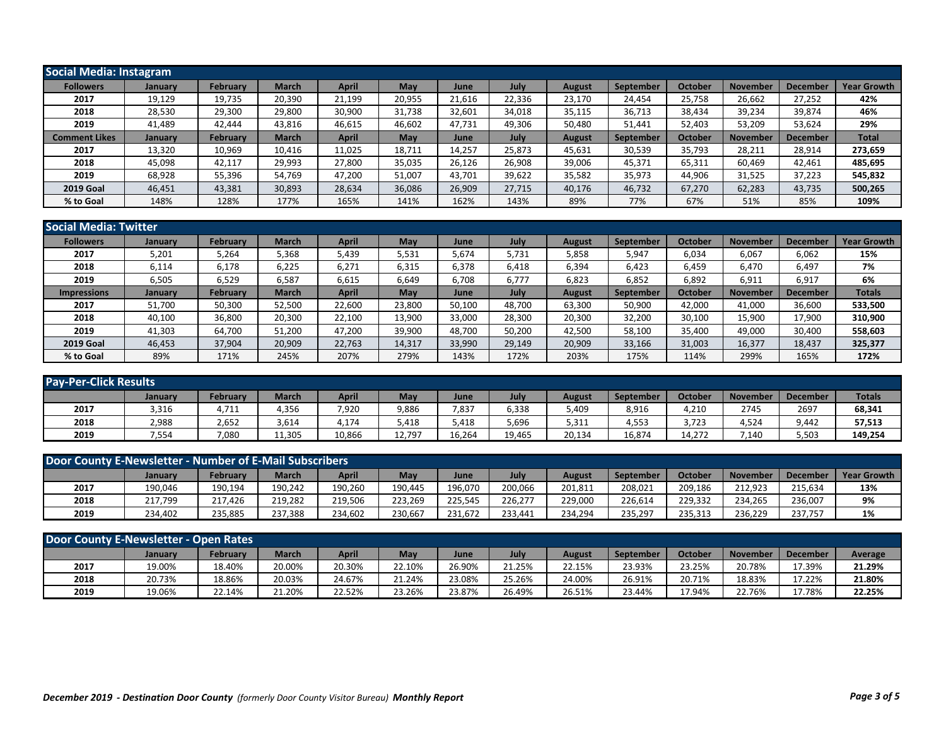| Social Media: Instagram |                |                 |              |              |        |        |        |               |           |                |                 |                      |                    |
|-------------------------|----------------|-----------------|--------------|--------------|--------|--------|--------|---------------|-----------|----------------|-----------------|----------------------|--------------------|
| <b>Followers</b>        | <b>January</b> | <b>February</b> | <b>March</b> | April        | May    | June   | July   | <b>August</b> | September | October        | <b>November</b> | Decembe <sup>®</sup> | <b>Year Growth</b> |
| 2017                    | 19,129         | 19,735          | 20,390       | 21,199       | 20,955 | 21,616 | 22,336 | 23,170        | 24,454    | 25,758         | 26,662          | 27,252               | 42%                |
| 2018                    | 28,530         | 29,300          | 29,800       | 30,900       | 31,738 | 32,601 | 34,018 | 35,115        | 36,713    | 38,434         | 39,234          | 39,874               | 46%                |
| 2019                    | 41,489         | 42.444          | 43,816       | 46,615       | 46,602 | 47,731 | 49,306 | 50,480        | 51,441    | 52,403         | 53,209          | 53,624               | 29%                |
| <b>Comment Likes</b>    | January        | February        | <b>March</b> | <b>April</b> | May    | June   | July   | <b>August</b> | September | <b>October</b> | <b>November</b> | <b>December</b>      | <b>Total</b>       |
| 2017                    | 13,320         | 10,969          | 10,416       | 11,025       | 18,711 | 14,257 | 25,873 | 45,631        | 30,539    | 35,793         | 28,211          | 28,914               | 273,659            |
| 2018                    | 45,098         | 42,117          | 29,993       | 27,800       | 35,035 | 26,126 | 26,908 | 39,006        | 45,371    | 65,311         | 60,469          | 42,461               | 485,695            |
| 2019                    | 68,928         | 55,396          | 54,769       | 47,200       | 51,007 | 43,701 | 39,622 | 35,582        | 35,973    | 44,906         | 31,525          | 37,223               | 545,832            |
| <b>2019 Goal</b>        | 46,451         | 43,381          | 30,893       | 28,634       | 36,086 | 26,909 | 27,715 | 40,176        | 46,732    | 67,270         | 62,283          | 43,735               | 500,265            |
| % to Goal               | 148%           | 128%            | 177%         | 165%         | 141%   | 162%   | 143%   | 89%           | 77%       | 67%            | 51%             | 85%                  | 109%               |

| <b>Social Media: Twitter</b> |         |                 |              |              |        |        |        |               |                  |                |                 |                 |                    |
|------------------------------|---------|-----------------|--------------|--------------|--------|--------|--------|---------------|------------------|----------------|-----------------|-----------------|--------------------|
| <b>Followers</b>             | January | <b>February</b> | <b>March</b> | <b>April</b> | May    | June   | July   | August        | <b>September</b> | October        | <b>November</b> | <b>Decembe</b>  | <b>Year Growth</b> |
| 2017                         | 5,201   | 5,264           | 5,368        | 5,439        | 5,531  | 5,674  | 5,731  | 5,858         | 5,947            | 6,034          | 6,067           | 6,062           | 15%                |
| 2018                         | 6,114   | 6,178           | 6,225        | 6,271        | 6,315  | 6,378  | 6,418  | 6,394         | 6,423            | 6,459          | 6,470           | 6,497           | 7%                 |
| 2019                         | 6,505   | 6,529           | 6,587        | 6,615        | 6,649  | 6,708  | 6,777  | 6,823         | 6,852            | 6,892          | 6,911           | 6,917           | 6%                 |
| <b>Impressions</b>           | January | February        | <b>March</b> | <b>April</b> | May    | June   | July   | <b>August</b> | September        | <b>October</b> | <b>November</b> | <b>December</b> | <b>Totals</b>      |
| 2017                         | 51,700  | 50,300          | 52,500       | 22,600       | 23,800 | 50,100 | 48,700 | 63,300        | 50,900           | 42,000         | 41,000          | 36,600          | 533,500            |
| 2018                         | 40,100  | 36,800          | 20,300       | 22,100       | 13,900 | 33,000 | 28,300 | 20,300        | 32,200           | 30,100         | 15,900          | 17,900          | 310,900            |
| 2019                         | 41,303  | 64.700          | 51,200       | 47,200       | 39,900 | 48,700 | 50,200 | 42,500        | 58,100           | 35,400         | 49,000          | 30,400          | 558,603            |
| <b>2019 Goal</b>             | 46,453  | 37,904          | 20,909       | 22,763       | 14,317 | 33,990 | 29,149 | 20,909        | 33,166           | 31,003         | 16,377          | 18,437          | 325,377            |
| % to Goal                    | 89%     | 171%            | 245%         | 207%         | 279%   | 143%   | 172%   | 203%          | 175%             | 114%           | 299%            | 165%            | 172%               |

| <b>Pay-Per-Click Results</b> |                |          |              |        |        |        |        |        |           |         |                 |                 |               |
|------------------------------|----------------|----------|--------------|--------|--------|--------|--------|--------|-----------|---------|-----------------|-----------------|---------------|
|                              | <b>January</b> | February | <b>March</b> | April  | May    | June   | July   | August | September | October | <b>November</b> | <b>December</b> | <b>Totals</b> |
| 2017                         | 3,316          | 4,711    | 4,356        | 7,920  | 9,886  | 7,837  | 6,338  | 5,409  | 8,916     | 4,210   | 2745            | 2697            | 68,341        |
| 2018                         | 2,988          | 2,652    | 3,614        | 174,   | 5,418  | 5,418  | 5,696  | 5,311  | 4,553     | 3,723   | 4,524           | 9,442           | 57,513        |
| 2019                         | 7,554          | 7,080    | 11,305       | 10,866 | 12,797 | 16,264 | 19,465 | 20,134 | 16,874    | 14,272  | 7,140           | 5,503           | 149,254       |

| Door County E-Newsletter - Number of E-Mail Subscribers |         |                 |         |         |         |         |         |         |           |                |                 |          |                    |
|---------------------------------------------------------|---------|-----------------|---------|---------|---------|---------|---------|---------|-----------|----------------|-----------------|----------|--------------------|
|                                                         | January | <b>February</b> | March   | April   | May     | June    | Julv    | August  | September | <b>October</b> | <b>November</b> | December | <b>Year Growth</b> |
| 2017                                                    | 190,046 | 190.194         | 190.242 | 190,260 | 190.445 | 196,070 | 200,066 | 201,811 | 208.021   | 209,186        | 212.923         | 215.634  | 13%                |
| 2018                                                    | 217,799 | 217.426         | 219,282 | 219,506 | 223,269 | 225.545 | 226,277 | 229,000 | 226,614   | 229,332        | 234,265         | 236,007  | 9%                 |
| 2019                                                    | 234,402 | 235,885         | 237,388 | 234.602 | 230,667 | 231.672 | 233.441 | 234,294 | 235,297   | 235,313        | 236,229         | 237,757  | 1%                 |

| Door County E-Newsletter - Open Rates |                |                 |        |        |        |        |        |        |                  |                |          |                 |         |
|---------------------------------------|----------------|-----------------|--------|--------|--------|--------|--------|--------|------------------|----------------|----------|-----------------|---------|
|                                       | <b>January</b> | <b>February</b> | March  | April  | May    | June   | July   | August | <b>September</b> | <b>Octobel</b> | November | <b>December</b> | Average |
| 2017                                  | 19.00%         | 18.40%          | 20.00% | 20.30% | 22.10% | 26.90% | 21.25% | 22.15% | 23.93%           | 23.25%         | 20.78%   | 17.39%          | 21.29%  |
| 2018                                  | 20.73%         | 18.86%          | 20.03% | 24.67% | 21.24% | 23.08% | 25.26% | 24.00% | 26.91%           | 20.71%         | 18.83%   | 17.22%          | 21.80%  |
| 2019                                  | 19.06%         | 22.14%          | 21.20% | 22.52% | 23.26% | 23.87% | 26.49% | 26.51% | 23.44%           | 17.94%         | 22.76%   | 17.78%          | 22.25%  |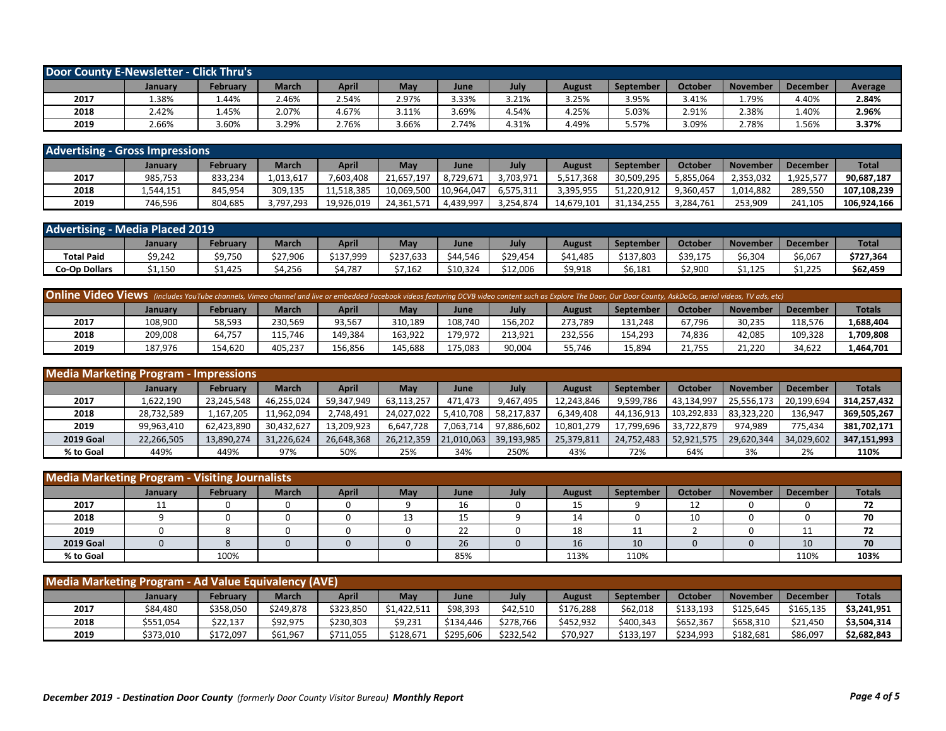| Door County E-Newsletter - Click Thru's |         |          |              |       |            |       |       |        |                  |         |                 |                 |         |
|-----------------------------------------|---------|----------|--------------|-------|------------|-------|-------|--------|------------------|---------|-----------------|-----------------|---------|
|                                         | January | Februarv | <b>March</b> | April | <b>May</b> | June  | July  | August | <b>September</b> | October | <b>November</b> | <b>December</b> | Average |
| 2017                                    | 1.38%   | 1.44%    | 2.46%        | 2.54% | 2.97%      | 3.33% | 3.21% | 3.25%  | 3.95%            | 3.41%   | 1.79%           | 4.40%           | 2.84%   |
| 2018                                    | 2.42%   | 1.45%    | 2.07%        | 4.67% | 3.11%      | 3.69% | 4.54% | 4.25%  | 5.03%            | 2.91%   | 2.38%           | 1.40%           | 2.96%   |
| 2019                                    | 2.66%   | 3.60%    | 3.29%        | 2.76% | 3.66%      | 2.74% | 4.31% | 4.49%  | 5.57%            | 3.09%   | 2.78%           | 1.56%           | 3.37%   |

| <b>Advertising - Gross Impressions</b> |           |                 |              |            |            |            |           |            |                  |           |                 |                 |              |
|----------------------------------------|-----------|-----------------|--------------|------------|------------|------------|-----------|------------|------------------|-----------|-----------------|-----------------|--------------|
|                                        | January   | <b>February</b> | <b>March</b> | April      | May        | June       | Julv      | August     | <b>September</b> | October   | <b>November</b> | <b>December</b> | <b>Total</b> |
| 2017                                   | 985.753   | 833.234         | 1.013.617    | 7.603.408  | 21.657.197 | 8.729.67   | 3,703,971 | 5,517,368  | 30,509,295       | 5.855.064 | 2,353,032       | 1,925,57        | 90,687,187   |
| 2018                                   | 1,544,151 | 845.954         | 309.135      | 11.518.385 | 10.069.500 | 10,964,047 | 6,575,311 | 3.395.955  | 51.220.912       | 9.360.457 | 1.014.882       | 289.550         | 107.108.239  |
| 2019                                   | 746.596   | 804.685         | 3,797,293    | 19.926.019 | 24.361.571 | 4.439.997  | 3,254,874 | 14.679.101 | 31.134.255       | 3.284.761 | 253.909         | 241.105         | 106,924,166  |

| <b>Advertising - Media Placed 2019</b> |         |          |              |           |           |          |          |          |           |                |                 |          |              |
|----------------------------------------|---------|----------|--------------|-----------|-----------|----------|----------|----------|-----------|----------------|-----------------|----------|--------------|
|                                        | January | February | <b>March</b> | April     | May       | June     | July     | August   | September | <b>October</b> | <b>November</b> | December | <b>Total</b> |
| <b>Total Paid</b>                      | \$9,242 | \$9,750  | \$27,906     | \$137.999 | \$237,633 | \$44.546 | \$29,454 | \$41,485 | \$137,803 | \$39,175       | \$6,304         | 6,067ۃ   | \$727,364    |
| <b>Co-Op Dollars</b>                   | \$1,150 | .,425    | \$4,256      | 4.787     | \$7,162   | \$10,324 | \$12,006 | \$9,918  | \$6,181   | \$2,900        | \$1,125         | \$1,225  | \$62,459     |

| Online Video Views (includes YouTube channels, Vimeo channel and live or embedded Facebook videos featuring DCVB video content such as Explore The Door, Our Door County, AskDoCo, aerial videos, TV ads, etc) |                |                 |              |         |         |         |         |         |                  |         |                 |                 |               |
|----------------------------------------------------------------------------------------------------------------------------------------------------------------------------------------------------------------|----------------|-----------------|--------------|---------|---------|---------|---------|---------|------------------|---------|-----------------|-----------------|---------------|
|                                                                                                                                                                                                                | <b>January</b> | <b>February</b> | <b>March</b> | April   | May     | June    | July    | August  | <b>September</b> | October | <b>November</b> | <b>December</b> | <b>Totals</b> |
| 2017                                                                                                                                                                                                           | 108,900        | 58,593          | 230,569      | 93,567  | 310,189 | 108.740 | 156,202 | 273,789 | 131,248          | 67,796  | 30,235          | 118.576         | 1,688,404     |
| 2018                                                                                                                                                                                                           | 209.008        | 64.757          | 115.746      | 149.384 | 163.922 | 179.972 | 213.921 | 232.556 | 154.293          | 74.836  | 42.085          | 109.328         | 1,709,808     |
| 2019                                                                                                                                                                                                           | 187.976        | 154.620         | 405,237      | 156.856 | 145.688 | 175.083 | 90,004  | 55.746  | 15,894           | 21,755  | 21,220          | 34,622          | 1,464,701     |

| <b>Media Marketing Program - Impressions</b> |                |                 |              |              |            |            |            |            |                  |             |            |                 |               |
|----------------------------------------------|----------------|-----------------|--------------|--------------|------------|------------|------------|------------|------------------|-------------|------------|-----------------|---------------|
|                                              | <b>January</b> | <b>February</b> | <b>March</b> | <b>April</b> | May        | June       | July       | August     | <b>September</b> | October     | November   | <b>December</b> | <b>Totals</b> |
| 2017                                         | 1,622,190      | 23,245,548      | 46,255,024   | 59,347,949   | 63,113,257 | 471.473    | 9,467,495  | 12,243,846 | 9,599,786        | 43,134,997  | 25,556,173 | 20,199,694      | 314,257,432   |
| 2018                                         | 28,732,589     | 1,167,205       | 11,962,094   | 2,748,491    | 24,027,022 | 5,410,708  | 58,217,837 | 6,349,408  | 44,136,913       | 103,292,833 | 83,323,220 | 136,947         | 369,505,267   |
| 2019                                         | 99.963.410     | 62,423,890      | 30,432,627   | 13,209,923   | 6.647.728  | 7.063.714  | 97.886.602 | 10,801,279 | 17.799.696       | 33.722.879  | 974.989    | 775.434         | 381.702.171   |
| <b>2019 Goal</b>                             | 22,266,505     | 13,890,274      | 31,226,624   | 26,648,368   | 26,212,359 | 21,010,063 | 39,193,985 | 25,379,811 | 24,752,483       | 52,921,575  | 29,620,344 | 34.029.602      | 347,151,993   |
| % to Goal                                    | 449%           | 449%            | 97%          | 50%          | 25%        | 34%        | 250%       | 43%        | 72%              | 64%         | 3%         | 2%              | 110%          |

| <b>Media Marketing Program - Visiting Journalists</b> |         |          |              |              |             |      |      |               |           |                |          |                 |               |
|-------------------------------------------------------|---------|----------|--------------|--------------|-------------|------|------|---------------|-----------|----------------|----------|-----------------|---------------|
|                                                       | January | February | <b>March</b> | <b>April</b> | May         | June | July | <b>August</b> | September | <b>October</b> | November | <b>December</b> | <b>Totals</b> |
| 2017                                                  | 11      |          |              | v            |             | 16   | 0    | 15            |           | 12<br>ᅩᄼ       |          |                 | 72            |
| 2018                                                  |         |          |              |              | $\sim$<br>ᅩ | 15   |      | 14            |           | 10             |          |                 | 70            |
| 2019                                                  |         |          |              |              |             | 22   |      | 18            | ᆠ         |                |          | 11              | 72            |
| <b>2019 Goal</b>                                      |         |          |              |              |             | 26   |      | 16            | 10        |                |          | 10              | 70            |
| % to Goal                                             |         | 100%     |              |              |             | 85%  |      | 113%          | 110%      |                |          | 110%            | 103%          |

| Media Marketing Program - Ad Value Equivalency (AVE) |                |           |              |           |             |           |           |               |           |           |                 |                 |               |
|------------------------------------------------------|----------------|-----------|--------------|-----------|-------------|-----------|-----------|---------------|-----------|-----------|-----------------|-----------------|---------------|
|                                                      | <b>January</b> | February  | <b>March</b> | April     | <b>May</b>  | June      | July      | <b>August</b> | September | October   | <b>November</b> | <b>December</b> | <b>Totals</b> |
| 2017                                                 | \$84,480       | \$358,050 | \$249.878    | \$323,850 | \$1,422,511 | \$98,393  | \$42.510  | \$176,288     | \$62,018  | \$133,193 | \$125,645       | \$165,135       | \$3,241,951   |
| 2018                                                 | \$551,054      | \$22,137  | \$92,975     | \$230,303 | \$9,231     | \$134,446 | \$278.766 | \$452,932     | \$400,343 | \$652,367 | \$658,310       | \$21,450        | \$3,504,314   |
| 2019                                                 | \$373,010      | \$172.097 | \$61,967     | \$711.055 | \$128,671   | \$295.606 | \$232,542 | \$70,927      | \$133,197 | \$234,993 | \$182,681       | \$86,097        | \$2,682,843   |